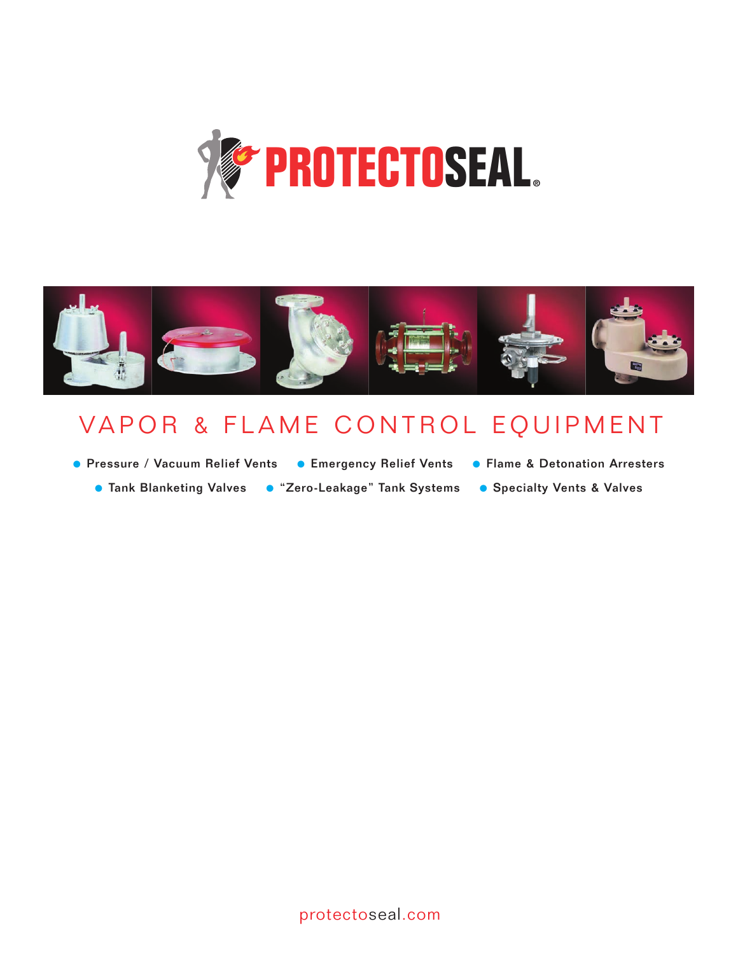



## VAPOR & FLAME CONTROL EQUIPMENT

- Pressure / Vacuum Relief Vents Emergency Relief Vents Flame & Detonation Arresters
	-
- 
- Tank Blanketing Valves "Zero-Leakage" Tank Systems Specialty Vents & Valves
- 
- 
-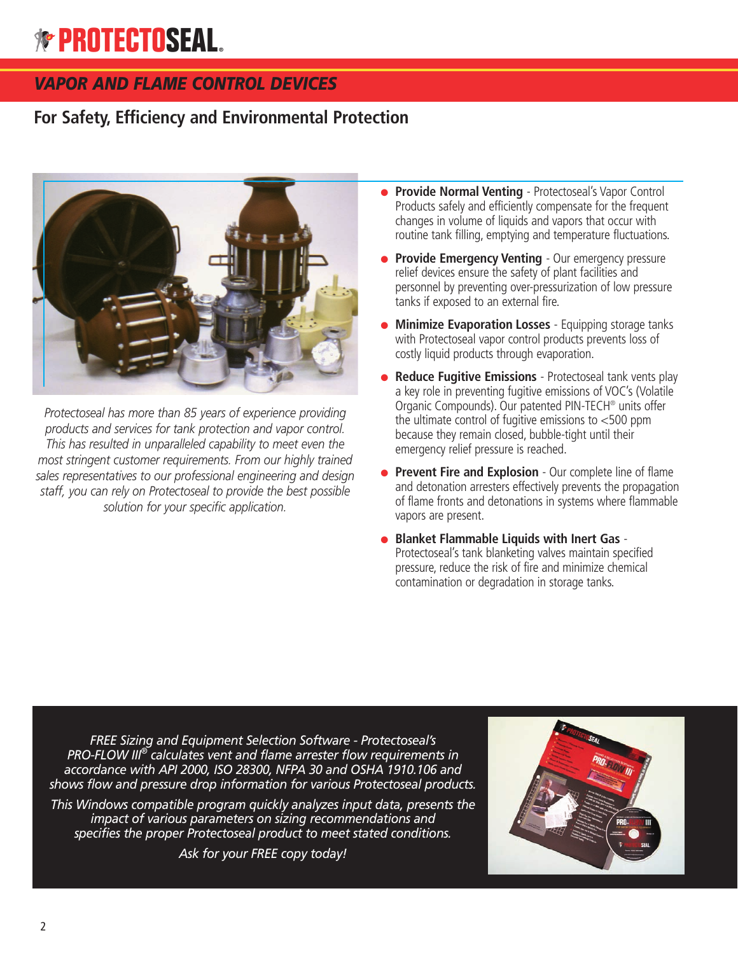## *VAPOR AND FLAME CONTROL DEVICES*

## **For Safety, Efficiency and Environmental Protection**



*Protectoseal has more than 85 years of experience providing products and services for tank protection and vapor control. This has resulted in unparalleled capability to meet even the most stringent customer requirements. From our highly trained sales representatives to our professional engineering and design staff, you can rely on Protectoseal to provide the best possible solution for your specific application.*

- **Provide Normal Venting** Protectoseal's Vapor Control Products safely and efficiently compensate for the frequent changes in volume of liquids and vapors that occur with routine tank filling, emptying and temperature fluctuations.
- **Provide Emergency Venting** Our emergency pressure relief devices ensure the safety of plant facilities and personnel by preventing over-pressurization of low pressure tanks if exposed to an external fire.
- **Minimize Evaporation Losses** Equipping storage tanks with Protectoseal vapor control products prevents loss of costly liquid products through evaporation.
- **Reduce Fugitive Emissions** Protectoseal tank vents play a key role in preventing fugitive emissions of VOC's (Volatile Organic Compounds). Our patented PIN-TECH® units offer the ultimate control of fugitive emissions to <500 ppm because they remain closed, bubble-tight until their emergency relief pressure is reached.
- **Prevent Fire and Explosion** Our complete line of flame and detonation arresters effectively prevents the propagation of flame fronts and detonations in systems where flammable vapors are present.
- **Blanket Flammable Liquids with Inert Gas** Protectoseal's tank blanketing valves maintain specified pressure, reduce the risk of fire and minimize chemical contamination or degradation in storage tanks.

*FREE Sizing and Equipment Selection Software - Protectoseal's PRO-FLOW III ® calculates vent and flame arrester flow requirements in accordance with API 2000, ISO 28300, NFPA 30 and OSHA 1910.106 and shows flow and pressure drop information for various Protectoseal products.*

*This Windows compatible program quickly analyzes input data, presents the impact of various parameters on sizing recommendations and specifies the proper Protectoseal product to meet stated conditions.*

*Ask for your FREE copy today!*

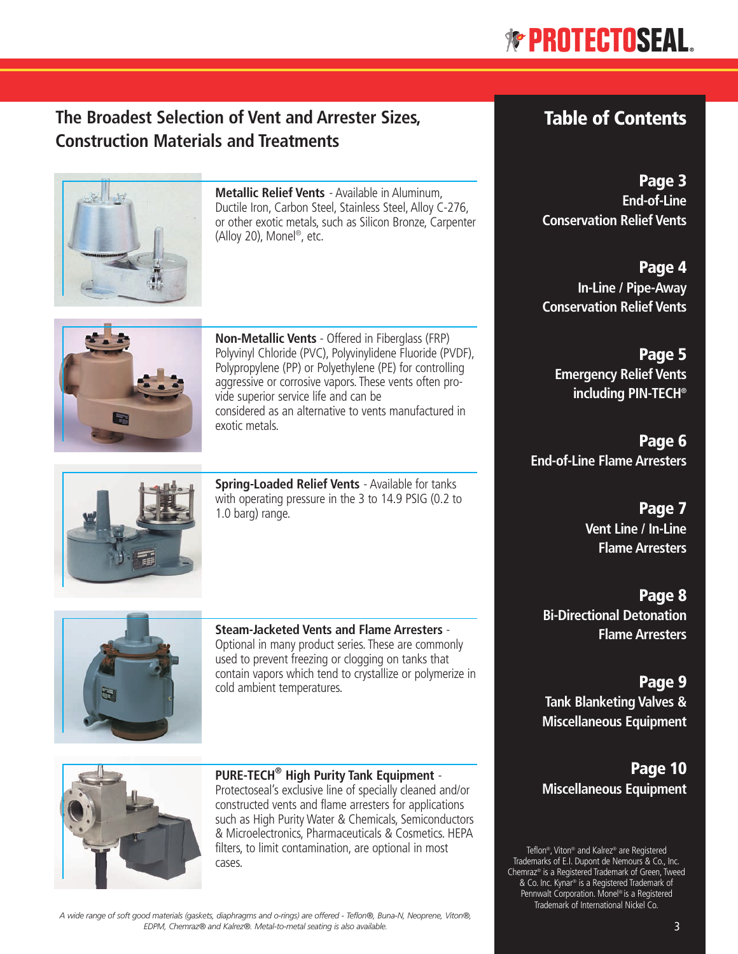## **The Broadest Selection of Vent and Arrester Sizes, Construction Materials and Treatments**



**Metallic Relief Vents** - Available in Aluminum, Ductile Iron, Carbon Steel, Stainless Steel, Alloy C-276, or other exotic metals, such as Silicon Bronze, Carpenter (Alloy 20), Monel ®, etc.



**Non-Metallic Vents** - Offered in Fiberglass (FRP) Polyvinyl Chloride (PVC), Polyvinylidene Fluoride (PVDF), Polypropylene (PP) or Polyethylene (PE) for controlling aggressive or corrosive vapors. These vents often provide superior service life and can be considered as an alternative to vents manufactured in exotic metals.



**Spring-Loaded Relief Vents** - Available for tanks with operating pressure in the 3 to 14.9 PSIG (0.2 to 1.0 barg) range.



**Steam-Jacketed Vents and Flame Arresters** - Optional in many product series. These are commonly used to prevent freezing or clogging on tanks that contain vapors which tend to crystallize or polymerize in



**PURE-TECH® High Purity Tank Equipment** - Protectoseal's exclusive line of specially cleaned and/or constructed vents and flame arresters for applications such as High Purity Water & Chemicals, Semiconductors & Microelectronics, Pharmaceuticals & Cosmetics. HEPA filters, to limit contamination, are optional in most cases.

## **Table of Contents**

**Page 3 End-of-Line Conservation Relief Vents**

**Page 4 In-Line / Pipe-Away Conservation Relief Vents**

**Page 5 Emergency Relief Vents including PIN-TECH®**

**Page 6 End-of-Line Flame Arresters**

> **Page 7 Vent Line / In-Line Flame Arresters**

**Page 8 Bi-Directional Detonation Flame Arresters**

**Page 9 Tank Blanketing Valves & Miscellaneous Equipment**

**Page 10 Miscellaneous Equipment**

Teflon®, Viton® and Kalrez ® are Registered Trademarks of E.I. Dupont de Nemours & Co., Inc. Chemraz ® is a Registered Trademark of Green, Tweed & Co. Inc. Kynar® is a Registered Trademark of Pennwalt Corporation. Monel ® is a Registered Trademark of International Nickel Co.

A wide range of soft good materials (gaskets, diaphragms and o-rings) are offered - Teflon®, Buna-N, Neoprene, Viton®, *EDPM, Chemraz® and Kalrez®. Metal-to-metal seating is also available.*

cold ambient temperatures.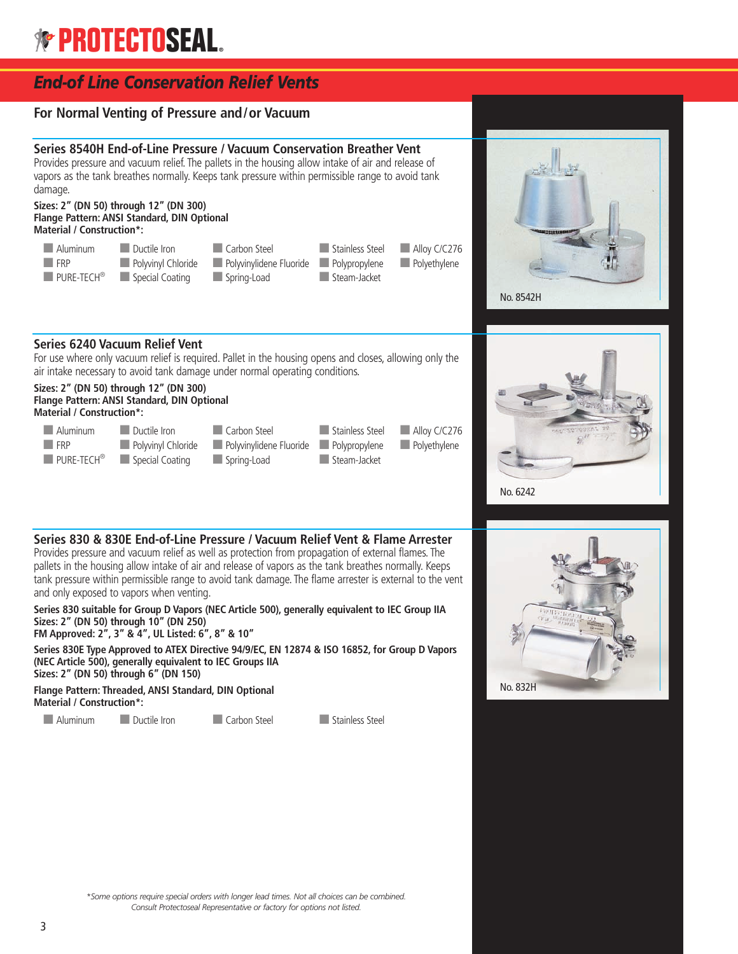

#### **Series 830 & 830E End-of-Line Pressure / Vacuum Relief Vent & Flame Arrester**

Provides pressure and vacuum relief as well as protection from propagation of external flames. The pallets in the housing allow intake of air and release of vapors as the tank breathes normally. Keeps tank pressure within permissible range to avoid tank damage. The flame arrester is external to the vent and only exposed to vapors when venting.

**Series 830 suitable for Group D Vapors (NEC Article 500), generally equivalent to IEC Group IIA Sizes: 2" (DN 50) through 10" (DN 250) FM Approved: 2", 3" & 4", UL Listed: 6", 8" & 10"**

**Series 830E Type Approved to ATEX Directive 94/9/EC, EN 12874 & ISO 16852, for Group D Vapors (NEC Article 500), generally equivalent to IEC Groups IIA Sizes: 2" (DN 50) through 6" (DN 150)**

**Flange Pattern: Threaded, ANSI Standard, DIN Optional Material / Construction\*:**

■ Aluminum ■ Ductile Iron ■ Carbon Steel ■ Stainless Steel





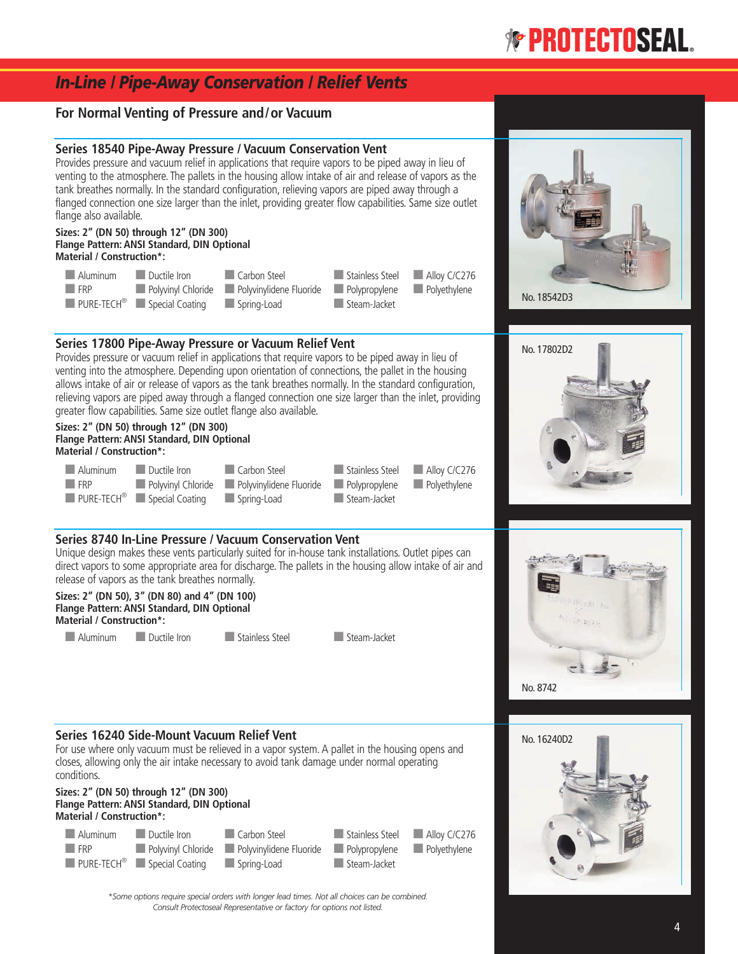## *In-Line / Pipe-Away Conservation / Relief Vents*

#### **For Normal Venting of Pressure and/or Vacuum**

#### **Series 18540 Pipe-Away Pressure / Vacuum Conservation Vent**

Provides pressure and vacuum relief in applications that require vapors to be piped away in lieu of venting to the atmosphere. The pallets in the housing allow intake of air and release of vapors as the tank breathes normally. In the standard configuration, relieving vapors are piped away through a flanged connection one size larger than the inlet, providing greater flow capabilities. Same size outlet flange also available.

#### **Sizes: 2" (DN 50) through 12" (DN 300) Flange Pattern: ANSI Standard, DIN Optional Material / Construction\*:**

| Aluminum           | Ductile Iron                                             | Carbon Steel                                                          | Stainless Steel Bulley C/C276 |  |
|--------------------|----------------------------------------------------------|-----------------------------------------------------------------------|-------------------------------|--|
| $\blacksquare$ FRP |                                                          | Polyvinyl Chloride Polyvinylidene Fluoride Polypropylene Polyethylene |                               |  |
|                    | <b>PURE-TECH<sup>®</sup></b> Special Coating Spring-Load |                                                                       | Steam-Jacket                  |  |

#### **Series 17800 Pipe-Away Pressure or Vacuum Relief Vent**

Provides pressure or vacuum relief in applications that require vapors to be piped away in lieu of venting into the atmosphere. Depending upon orientation of connections, the pallet in the housing allows intake of air or release of vapors as the tank breathes normally. In the standard configuration, relieving vapors are piped away through a flanged connection one size larger than the inlet, providing greater flow capabilities. Same size outlet flange also available.

#### **Sizes: 2" (DN 50) through 12" (DN 300) Flange Pattern: ANSI Standard, DIN Optional Material / Construction\*:**

| Aluminum Ductile Iron |                                                          | Carbon Steel                                                          | Stainless Steel Bullet Alloy C/C276 |  |
|-----------------------|----------------------------------------------------------|-----------------------------------------------------------------------|-------------------------------------|--|
| <b>FRP</b>            |                                                          | Polyvinyl Chloride Polyvinylidene Fluoride Polypropylene Polyethylene |                                     |  |
|                       | <b>PURE-TECH<sup>®</sup></b> Special Coating Spring-Load |                                                                       | Steam-Jacket                        |  |

#### **Series 8740 In-Line Pressure / Vacuum Conservation Vent**

Unique design makes these vents particularly suited for in-house tank installations. Outlet pipes can direct vapors to some appropriate area for discharge. The pallets in the housing allow intake of air and release of vapors as the tank breathes normally.

#### **Sizes: 2" (DN 50), 3" (DN 80) and 4" (DN 100) Flange Pattern: ANSI Standard, DIN Optional Material / Construction\*:**

■ Aluminum ■ Ductile Iron ■ Stainless Steel ■ Steam-Jacket



No. 8742

No. 16240D2

No. 18542D3

No. 17802D2

#### **Series 16240 Side-Mount Vacuum Relief Vent**

For use where only vacuum must be relieved in a vapor system. A pallet in the housing opens and closes, allowing only the air intake necessary to avoid tank damage under normal operating conditions.

#### **Sizes: 2" (DN 50) through 12" (DN 300) Flange Pattern: ANSI Standard, DIN Optional Material / Construction\*:**



*\*Some options require special orders with longer lead times. Not all choices can be combined. Consult Protectoseal Representative or factory for options not listed.*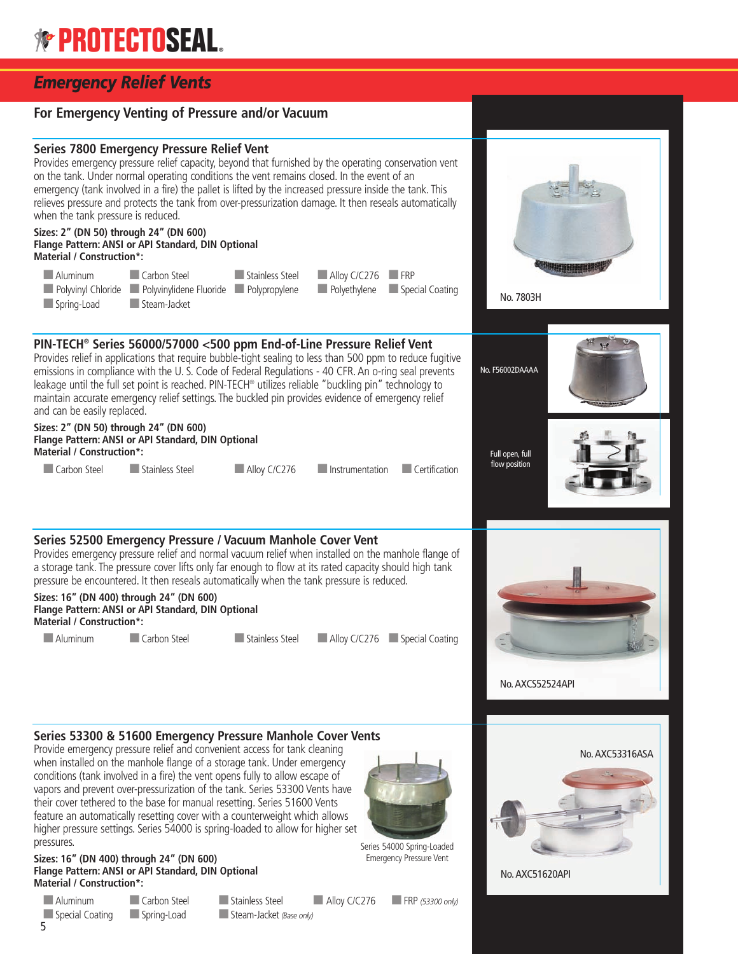## *Emergency Relief Vents*

#### **For Emergency Venting of Pressure and/or Vacuum Series 7800 Emergency Pressure Relief Vent** Provides emergency pressure relief capacity, beyond that furnished by the operating conservation vent on the tank. Under normal operating conditions the vent remains closed. In the event of an emergency (tank involved in a fire) the pallet is lifted by the increased pressure inside the tank. This relieves pressure and protects the tank from over-pressurization damage. It then reseals automatically when the tank pressure is reduced. **Sizes: 2" (DN 50) through 24" (DN 600) Flange Pattern: ANSI or API Standard, DIN Optional Material / Construction\*:** ■ Aluminum ■ Carbon Steel ■ Stainless Steel ■ Alloy C/C276 ■ FRP ■ Polyvinyl Chloride ■ Polyvinylidene Fluoride ■ Polypropylene ■ Polyethylene ■Special Coating ■ Spring-Load **■ Steam-Jacket PIN-TECH® Series 56000/57000 <500 ppm End-of-Line Pressure Relief Vent** Provides relief in applications that require bubble-tight sealing to less than 500 ppm to reduce fugitive emissions in compliance with the U. S. Code of Federal Regulations - 40 CFR. An o-ring seal prevents leakage until the full set point is reached. PIN-TECH® utilizes reliable "buckling pin" technology to maintain accurate emergency relief settings. The buckled pin provides evidence of emergency relief and can be easily replaced. **Sizes: 2" (DN 50) through 24" (DN 600) Flange Pattern: ANSI or API Standard, DIN Optional Material / Construction\*:** ■ Carbon Steel ■ Stainless Steel ■ Alloy C/C276 ■ Instrumentation ■ Certification **Series 52500 Emergency Pressure / Vacuum Manhole Cover Vent** Provides emergency pressure relief and normal vacuum relief when installed on the manhole flange of a storage tank. The pressure cover lifts only far enough to flow at its rated capacity should high tank pressure be encountered. It then reseals automatically when the tank pressure is reduced. **Sizes: 16" (DN 400) through 24" (DN 600) Flange Pattern: ANSI or API Standard, DIN Optional Material / Construction\*:** ■ Aluminum ■ Carbon Steel ■ Stainless Steel ■ Alloy C/C276 ■ Special Coating **Series 53300 & 51600 Emergency Pressure Manhole Cover Vents** Provide emergency pressure relief and convenient access for tank cleaning when installed on the manhole flange of a storage tank. Under emergency conditions (tank involved in a fire) the vent opens fully to allow escape of vapors and prevent over-pressurization of the tank. Series 53300 Vents have their cover tethered to the base for manual resetting. Series 51600 Vents feature an automatically resetting cover with a counterweight which allows higher pressure settings. Series 54000 is spring-loaded to allow for higher set No. 7803H No.AXCS52524API No.AXC53316ASA No. F56002DAAAA Full open, full flow position

#### **Sizes: 16" (DN 400) through 24" (DN 600) Flange Pattern: ANSI or API Standard, DIN Optional Material / Construction\*:**

■ Aluminum ■ Carbon Steel ■ Stainless Steel ■ Alloy C/C276 ■ FRP *(53300 only)* ■ Special Coating ■ Spring-Load ■ Steam-Jacket *(Base only)* 5

pressures.

Series 54000 Spring-Loaded Emergency Pressure Vent

No.AXC51620API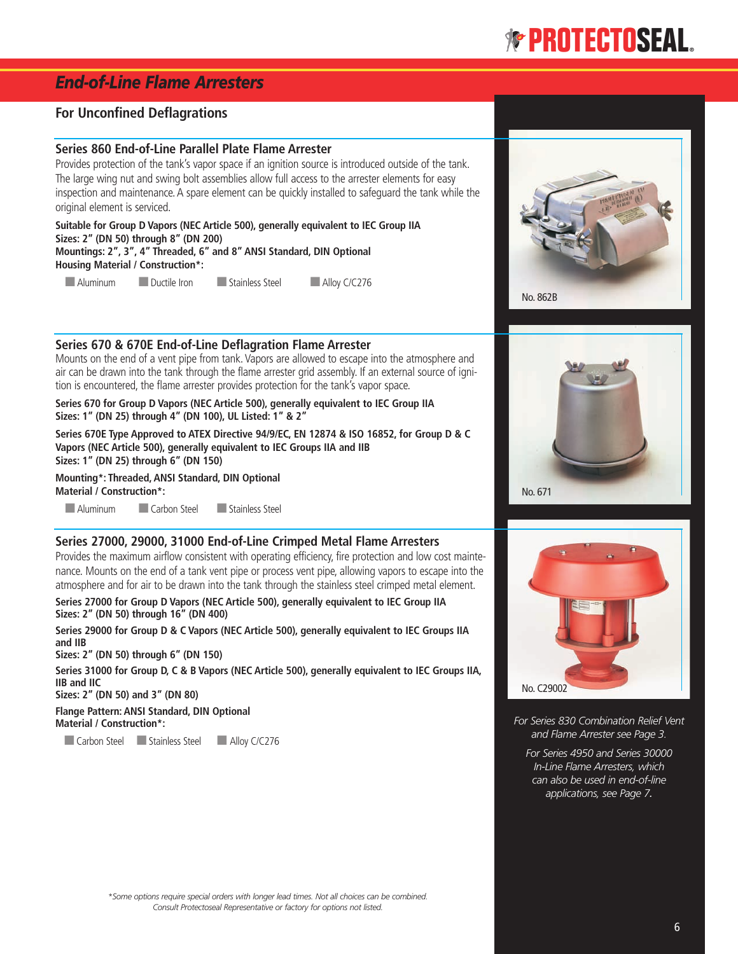## *End-of-Line Flame Arresters*

#### **For Unconfined Deflagrations**

#### **Series 860 End-of-Line Parallel Plate Flame Arrester**

Provides protection of the tank's vapor space if an ignition source is introduced outside of the tank. The large wing nut and swing bolt assemblies allow full access to the arrester elements for easy inspection and maintenance. A spare element can be quickly installed to safeguard the tank while the original element is serviced.

**Suitable for Group D Vapors (NEC Article 500), generally equivalent to IEC Group IIA Sizes: 2" (DN 50) through 8" (DN 200) Mountings: 2", 3", 4" Threaded, 6" and 8" ANSI Standard, DIN Optional Housing Material / Construction\*:**

■ Aluminum ■Ductile Iron ■ Stainless Steel ■ Alloy C/C276

#### **Series 670 & 670E End-of-Line Deflagration Flame Arrester**

Mounts on the end of a vent pipe from tank. Vapors are allowed to escape into the atmosphere and air can be drawn into the tank through the flame arrester grid assembly. If an external source of ignition is encountered, the flame arrester provides protection for the tank's vapor space.

**Series 670 for Group D Vapors (NEC Article 500), generally equivalent to IEC Group IIA Sizes: 1" (DN 25) through 4" (DN 100), UL Listed: 1" & 2"**

**Series 670E Type Approved to ATEX Directive 94/9/EC, EN 12874 & ISO 16852, for Group D & C Vapors (NEC Article 500), generally equivalent to IEC Groups IIA and IIB Sizes: 1" (DN 25) through 6" (DN 150)**

**Mounting\*: Threaded, ANSI Standard, DIN Optional Material / Construction\*:** ■ Aluminum ■ Carbon Steel ■ Stainless Steel

#### **Series 27000, 29000, 31000 End-of-Line Crimped Metal Flame Arresters**

Provides the maximum airflow consistent with operating efficiency, fire protection and low cost maintenance. Mounts on the end of a tank vent pipe or process vent pipe, allowing vapors to escape into the atmosphere and for air to be drawn into the tank through the stainless steel crimped metal element.

**Series 27000 for Group D Vapors (NEC Article 500), generally equivalent to IEC Group IIA Sizes: 2" (DN 50) through 16" (DN 400)**

**Series 29000 for Group D & C Vapors (NEC Article 500), generally equivalent to IEC Groups IIA and IIB**

**Sizes: 2" (DN 50) through 6" (DN 150)**

**Series 31000 for Group D, C & B Vapors (NEC Article 500), generally equivalent to IEC Groups IIA, IIB and IIC**

**Sizes: 2" (DN 50) and 3" (DN 80)**

**Flange Pattern: ANSI Standard, DIN Optional Material / Construction\*:**

■ Carbon Steel ■ Stainless Steel ■ Alloy C/C276







*For Series 830 Combination Relief Vent and Flame Arrester see Page 3.*

*For Series 4950 and Series 30000 In-Line Flame Arresters, which can also be used in end-of-line applications, see Page 7.*

*\*Some options require special orders with longer lead times. Not all choices can be combined. Consult Protectoseal Representative or factory for options not listed.*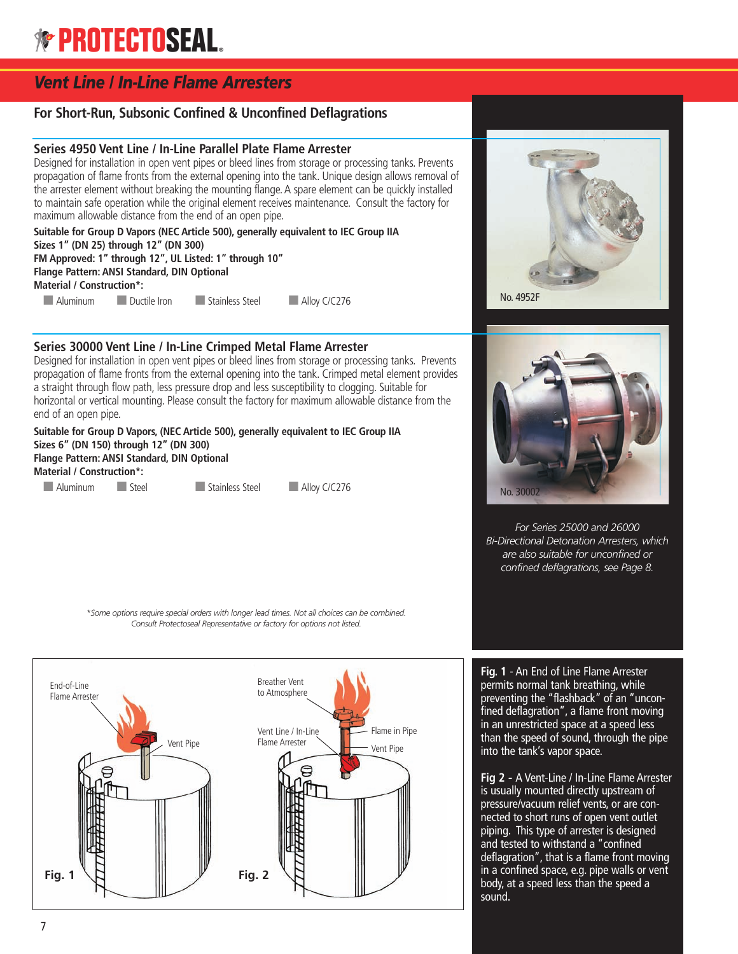## *Vent Line / In-Line Flame Arresters*

#### **For Short-Run, Subsonic Confined & Unconfined Deflagrations**

#### **Series 4950 Vent Line / In-Line Parallel Plate Flame Arrester**

Designed for installation in open vent pipes or bleed lines from storage or processing tanks. Prevents propagation of flame fronts from the external opening into the tank. Unique design allows removal of the arrester element without breaking the mounting flange.A spare element can be quickly installed to maintain safe operation while the original element receives maintenance. Consult the factory for maximum allowable distance from the end of an open pipe.

**Suitable for Group D Vapors (NEC Article 500), generally equivalent to IEC Group IIA Sizes 1" (DN 25) through 12" (DN 300) FM Approved: 1" through 12", UL Listed: 1" through 10" Flange Pattern: ANSI Standard, DIN Optional Material / Construction\*:** ■ Aluminum ■ Ductile Iron ■ Stainless Steel ■ Alloy C/C276

**Series 30000 Vent Line / In-Line Crimped Metal Flame Arrester**

Designed for installation in open vent pipes or bleed lines from storage or processing tanks. Prevents propagation of flame fronts from the external opening into the tank. Crimped metal element provides a straight through flow path, less pressure drop and less susceptibility to clogging. Suitable for horizontal or vertical mounting. Please consult the factory for maximum allowable distance from the end of an open pipe.

**Suitable for Group D Vapors, (NEC Article 500), generally equivalent to IEC Group IIA Sizes 6" (DN 150) through 12" (DN 300) Flange Pattern: ANSI Standard, DIN Optional Material / Construction\*:**

■ Aluminum ■ Steel ■ Stainless Steel ■ Alloy C/C276





*For Series 25000 and 26000 Bi-Directional Detonation Arresters, which are also suitable for unconfined or confined deflagrations, see Page 8.*

*\*Some options require special orders with longer lead times. Not all choices can be combined. Consult Protectoseal Representative or factory for options not listed.*



**Fig. 1** - An End of Line Flame Arrester permits normal tank breathing, while preventing the "flashback" of an "unconfined deflagration", a flame front moving in an unrestricted space at a speed less than the speed of sound, through the pipe into the tank's vapor space.

**Fig 2** *-* A Vent-Line / In-Line Flame Arrester is usually mounted directly upstream of pressure/vacuum relief vents, or are connected to short runs of open vent outlet piping. This type of arrester is designed and tested to withstand a "confined deflagration", that is a flame front moving in a confined space, e.g. pipe walls or vent body, at a speed less than the speed a sound**.**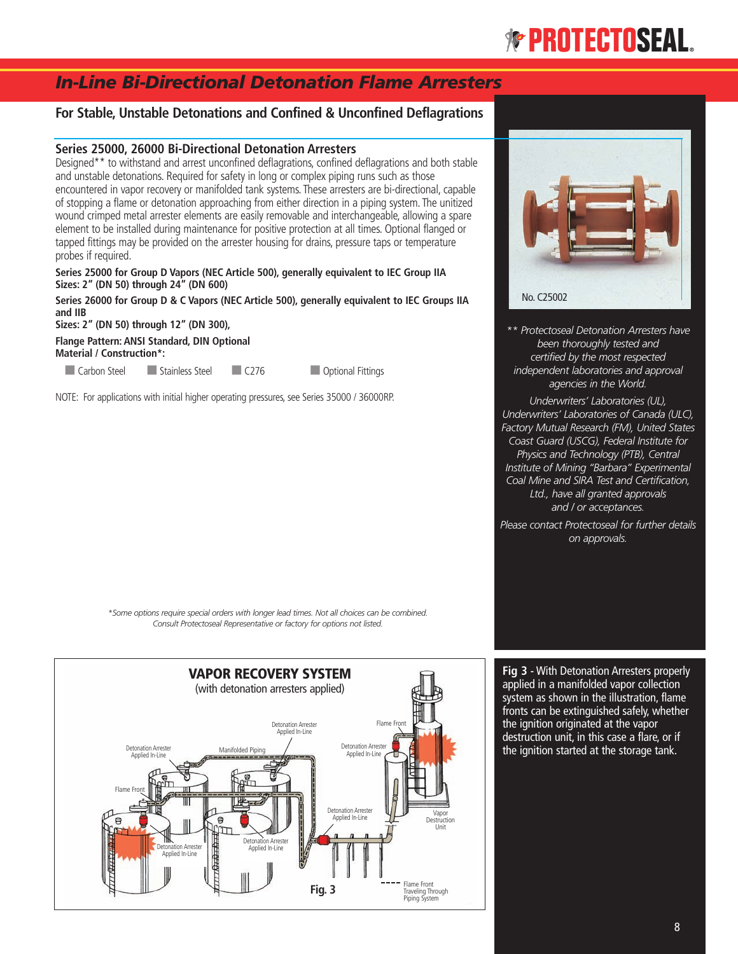## *In-Line Bi-Directional Detonation Flame Arresters*

#### **For Stable, Unstable Detonations and Confined & Unconfined Deflagrations**

#### **Series 25000, 26000 Bi-Directional Detonation Arresters**

Designed\*\* to withstand and arrest unconfined deflagrations, confined deflagrations and both stable and unstable detonations. Required for safety in long or complex piping runs such as those encountered in vapor recovery or manifolded tank systems. These arresters are bi-directional, capable of stopping a flame or detonation approaching from either direction in a piping system. The unitized wound crimped metal arrester elements are easily removable and interchangeable, allowing a spare element to be installed during maintenance for positive protection at all times. Optional flanged or tapped fittings may be provided on the arrester housing for drains, pressure taps or temperature probes if required.

**Series 25000 for Group D Vapors (NEC Article 500), generally equivalent to IEC Group IIA Sizes: 2" (DN 50) through 24" (DN 600)**

**Series 26000 for Group D & C Vapors (NEC Article 500), generally equivalent to IEC Groups IIA and IIB**

**Sizes: 2" (DN 50) through 12" (DN 300),**

**Flange Pattern: ANSI Standard, DIN Optional Material / Construction\*:**

■ Carbon Steel ■ Stainless Steel ■ C276 ■ Optional Fittings

NOTE: For applications with initial higher operating pressures, see Series 35000 / 36000RP.



*\*\* Protectoseal Detonation Arresters have been thoroughly tested and certified by the most respected independent laboratories and approval agencies in the World.*

*Underwriters' Laboratories (UL), Underwriters' Laboratories of Canada (ULC), Factory Mutual Research (FM), United States Coast Guard (USCG), Federal Institute for Physics and Technology (PTB), Central Institute of Mining "Barbara" Experimental Coal Mine and SIRA Test and Certification, Ltd., have all granted approvals and / or acceptances.*

*Please contact Protectoseal for further details on approvals.*

*\*Some options require special orders with longer lead times. Not all choices can be combined. Consult Protectoseal Representative or factory for options not listed.*



**Fig 3 -** With Detonation Arresters properly applied in a manifolded vapor collection system as shown in the illustration, flame fronts can be extinguished safely, whether the ignition originated at the vapor destruction unit, in this case a flare, or if the ignition started at the storage tank.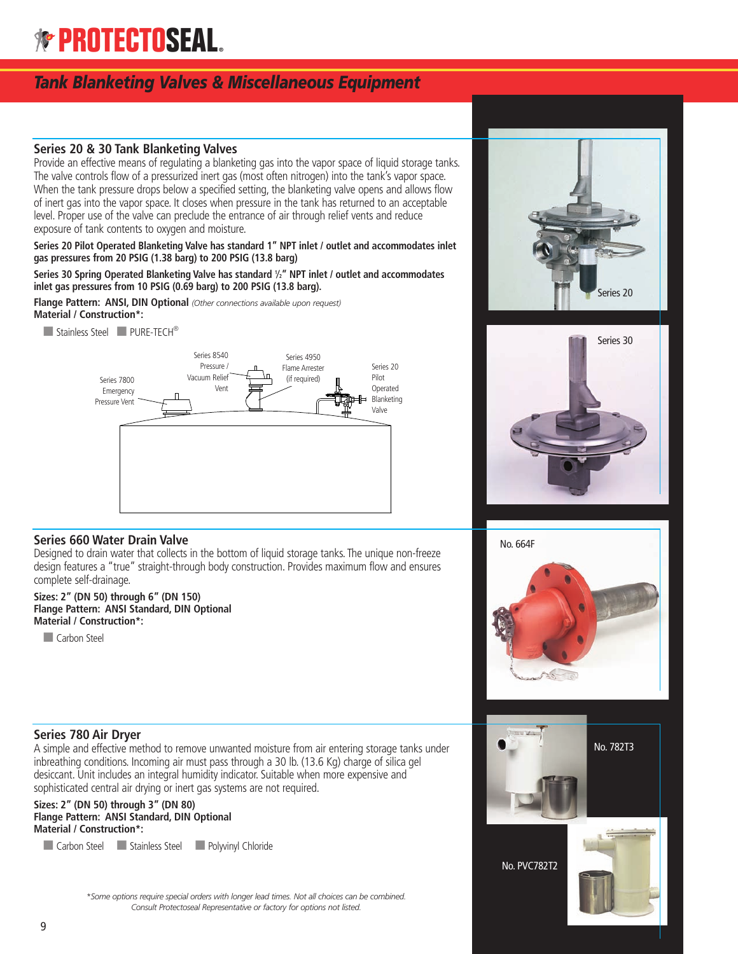## *Tank Blanketing Valves & Miscellaneous Equipment*

#### **Series 20 & 30 Tank Blanketing Valves**

Provide an effective means of regulating a blanketing gas into the vapor space of liquid storage tanks. The valve controls flow of a pressurized inert gas (most often nitrogen) into the tank's vapor space. When the tank pressure drops below a specified setting, the blanketing valve opens and allows flow of inert gas into the vapor space. It closes when pressure in the tank has returned to an acceptable level. Proper use of the valve can preclude the entrance of air through relief vents and reduce exposure of tank contents to oxygen and moisture.

**Series 20 Pilot Operated Blanketing Valve has standard 1" NPT inlet / outlet and accommodates inlet gas pressures from 20 PSIG (1.38 barg) to 200 PSIG (13.8 barg)**

**Series 30 Spring Operated Blanketing Valve has standard <sup>1</sup> ⁄2" NPT inlet / outlet and accommodates inlet gas pressures from 10 PSIG (0.69 barg) to 200 PSIG (13.8 barg).**

**Flange Pattern: ANSI, DIN Optional** *(Other connections available upon request)* **Material / Construction\*:**

■ Stainless Steel ■ PURE-TECH<sup>®</sup>







#### **Series 660 Water Drain Valve**

Designed to drain water that collects in the bottom of liquid storage tanks. The unique non-freeze design features a "true" straight-through body construction. Provides maximum flow and ensures complete self-drainage.

#### **Sizes: 2" (DN 50) through 6" (DN 150) Flange Pattern: ANSI Standard, DIN Optional Material / Construction\*:**

■ Carbon Steel





# No. 782T3

No. PVC782T2

#### **Series 780 Air Dryer**

A simple and effective method to remove unwanted moisture from air entering storage tanks under inbreathing conditions. Incoming air must pass through a 30 lb. (13.6 Kg) charge of silica gel desiccant. Unit includes an integral humidity indicator. Suitable when more expensive and sophisticated central air drying or inert gas systems are not required.

**Sizes: 2" (DN 50) through 3" (DN 80) Flange Pattern: ANSI Standard, DIN Optional Material / Construction\*:**

■ Carbon Steel ■ Stainless Steel ■ Polyvinyl Chloride

*\*Some options require special orders with longer lead times. Not all choices can be combined. Consult Protectoseal Representative or factory for options not listed.*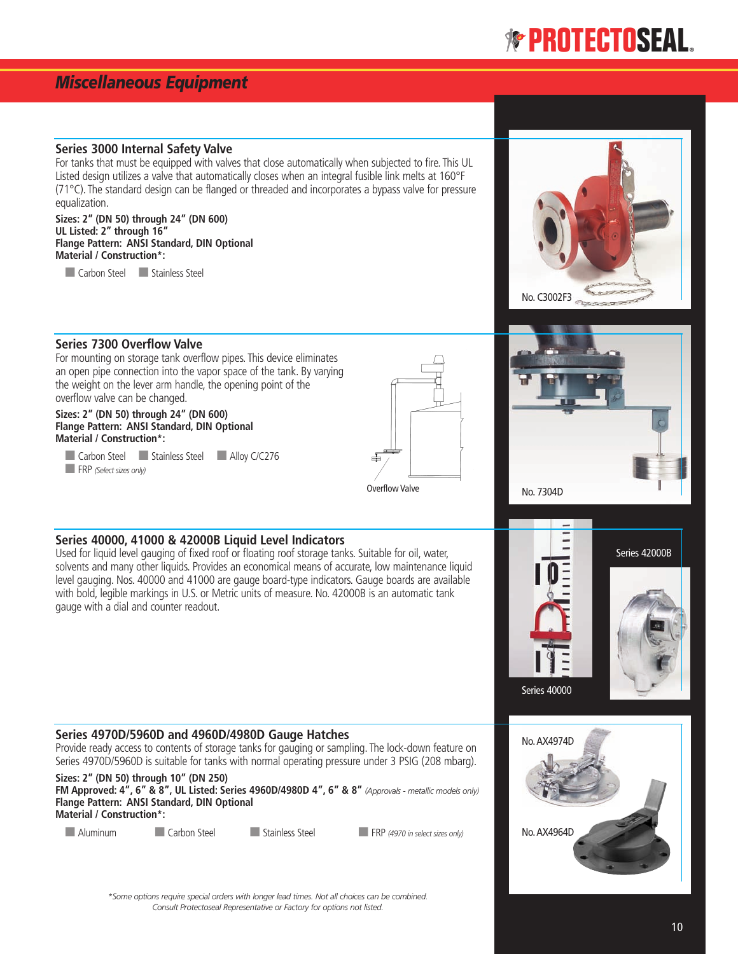### *Miscellaneous Equipment*

#### **Series 3000 Internal Safety Valve**

For tanks that must be equipped with valves that close automatically when subjected to fire. This UL Listed design utilizes a valve that automatically closes when an integral fusible link melts at 160°F (71°C). The standard design can be flanged or threaded and incorporates a bypass valve for pressure equalization.

**Sizes: 2" (DN 50) through 24" (DN 600) UL Listed: 2" through 16" Flange Pattern: ANSI Standard, DIN Optional Material / Construction\*:**

■ Carbon Steel ■ Stainless Steel



#### **Series 7300 Overflow Valve**

For mounting on storage tank overflow pipes. This device eliminates an open pipe connection into the vapor space of the tank. By varying the weight on the lever arm handle, the opening point of the overflow valve can be changed.

#### **Sizes: 2" (DN 50) through 24" (DN 600) Flange Pattern: ANSI Standard, DIN Optional Material / Construction\*:**

■ Carbon Steel ■ Stainless Steel ■ Alloy C/C276 ■ FRP *(Select sizes only)*



#### **Series 40000, 41000 & 42000B Liquid Level Indicators**

Used for liquid level gauging of fixed roof or floating roof storage tanks. Suitable for oil, water, solvents and many other liquids. Provides an economical means of accurate, low maintenance liquid level gauging. Nos. 40000 and 41000 are gauge board-type indicators. Gauge boards are available with bold, legible markings in U.S. or Metric units of measure. No. 42000B is an automatic tank gauge with a dial and counter readout.

#### **Series 4970D/5960D and 4960D/4980D Gauge Hatches**

Provide ready access to contents of storage tanks for gauging or sampling. The lock-down feature on Series 4970D/5960D is suitable for tanks with normal operating pressure under 3 PSIG (208 mbarg).

**Sizes: 2" (DN 50) through 10" (DN 250)** FM Approved: 4", 6" & 8", UL Listed: Series 4960D/4980D 4", 6" & 8" (Approvals - metallic models only) **Flange Pattern: ANSI Standard, DIN Optional Material / Construction\*:**

■ Aluminum ■ Carbon Steel ■ Stainless Steel ■ FRP *(4970 in select sizes only)* 



Series 42000B

No. 7304D

Series 40000

*\*Some options require special orders with longer lead times. Not all choices can be combined. Consult Protectoseal Representative or Factory for options not listed.*